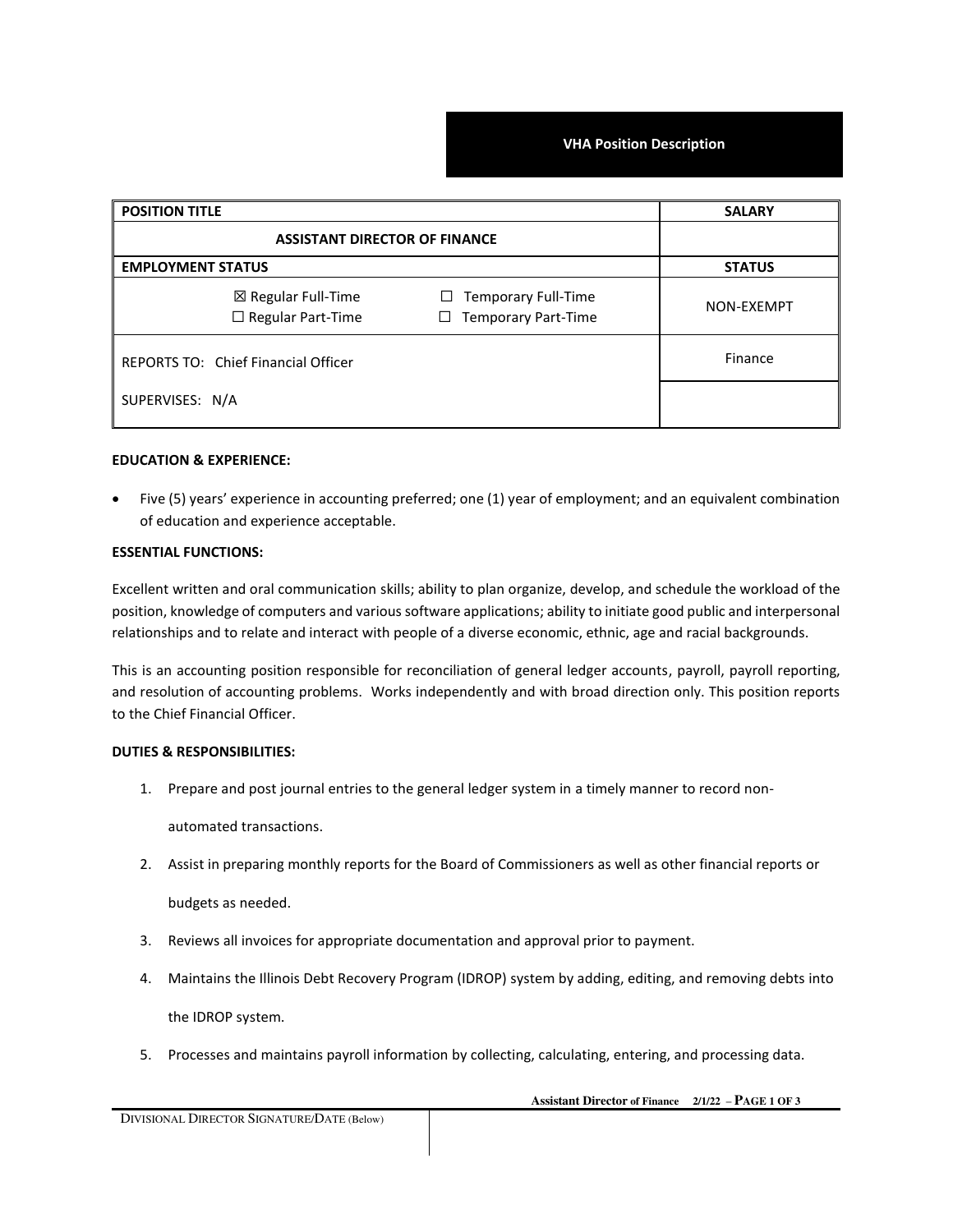**VHA Position Description** 

| <b>POSITION TITLE</b><br><b>ASSISTANT DIRECTOR OF FINANCE</b> |                                                                    | <b>SALARY</b> |
|---------------------------------------------------------------|--------------------------------------------------------------------|---------------|
|                                                               |                                                                    |               |
| $\boxtimes$ Regular Full-Time<br>$\Box$ Regular Part-Time     | <b>Temporary Full-Time</b><br>ப<br><b>Temporary Part-Time</b><br>⊔ | NON-EXEMPT    |
| REPORTS TO: Chief Financial Officer                           |                                                                    | Finance       |
| SUPERVISES: N/A                                               |                                                                    |               |

## **EDUCATION & EXPERIENCE:**

• Five (5) years' experience in accounting preferred; one (1) year of employment; and an equivalent combination of education and experience acceptable.

## **ESSENTIAL FUNCTIONS:**

Excellent written and oral communication skills; ability to plan organize, develop, and schedule the workload of the position, knowledge of computers and various software applications; ability to initiate good public and interpersonal relationships and to relate and interact with people of a diverse economic, ethnic, age and racial backgrounds.

This is an accounting position responsible for reconciliation of general ledger accounts, payroll, payroll reporting, and resolution of accounting problems. Works independently and with broad direction only. This position reports to the Chief Financial Officer.

## **DUTIES & RESPONSIBILITIES:**

1. Prepare and post journal entries to the general ledger system in a timely manner to record non-

automated transactions.

2. Assist in preparing monthly reports for the Board of Commissioners as well as other financial reports or

budgets as needed.

- 3. Reviews all invoices for appropriate documentation and approval prior to payment.
- 4. Maintains the Illinois Debt Recovery Program (IDROP) system by adding, editing, and removing debts into the IDROP system.
- 5. Processes and maintains payroll information by collecting, calculating, entering, and processing data.

 **Assistant Director of Finance 2/1/22 – PAGE 1 OF 3**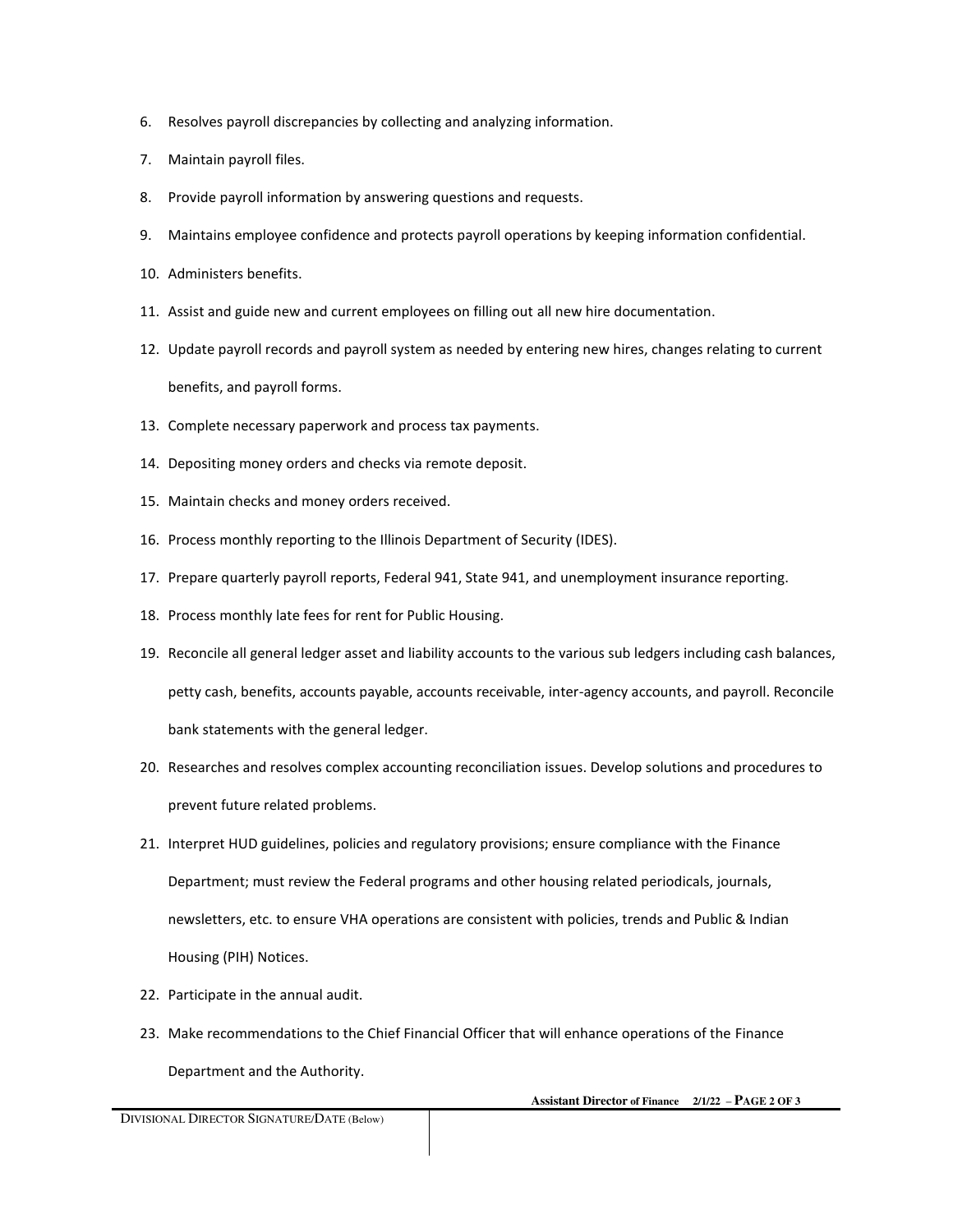- 6. Resolves payroll discrepancies by collecting and analyzing information.
- 7. Maintain payroll files.
- 8. Provide payroll information by answering questions and requests.
- 9. Maintains employee confidence and protects payroll operations by keeping information confidential.
- 10. Administers benefits.
- 11. Assist and guide new and current employees on filling out all new hire documentation.
- 12. Update payroll records and payroll system as needed by entering new hires, changes relating to current benefits, and payroll forms.
- 13. Complete necessary paperwork and process tax payments.
- 14. Depositing money orders and checks via remote deposit.
- 15. Maintain checks and money orders received.
- 16. Process monthly reporting to the Illinois Department of Security (IDES).
- 17. Prepare quarterly payroll reports, Federal 941, State 941, and unemployment insurance reporting.
- 18. Process monthly late fees for rent for Public Housing.
- 19. Reconcile all general ledger asset and liability accounts to the various sub ledgers including cash balances, petty cash, benefits, accounts payable, accounts receivable, inter-agency accounts, and payroll. Reconcile bank statements with the general ledger.
- 20. Researches and resolves complex accounting reconciliation issues. Develop solutions and procedures to prevent future related problems.
- 21. Interpret HUD guidelines, policies and regulatory provisions; ensure compliance with the Finance Department; must review the Federal programs and other housing related periodicals, journals, newsletters, etc. to ensure VHA operations are consistent with policies, trends and Public & Indian Housing (PIH) Notices.
- 22. Participate in the annual audit.
- 23. Make recommendations to the Chief Financial Officer that will enhance operations of the Finance Department and the Authority.

 **Assistant Director of Finance 2/1/22 – PAGE 2 OF 3**